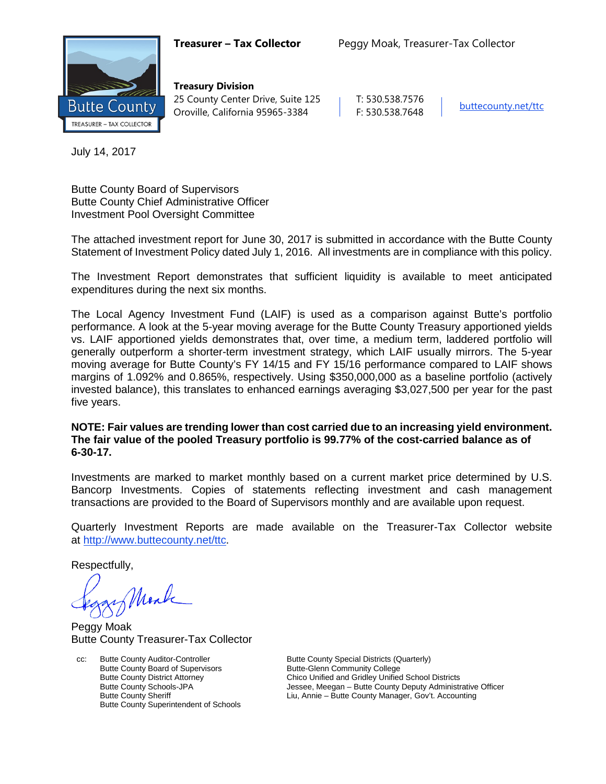

**Treasury Division** 25 County Center Drive, Suite 125 | T: 530.538.7576 Oroville, California 95965-3384 F: 530.538.7648 [buttecounty.net/t](http://www.buttecounty.net/administration)tc

July 14, 2017

Butte County Board of Supervisors Butte County Chief Administrative Officer Investment Pool Oversight Committee

The attached investment report for June 30, 2017 is submitted in accordance with the Butte County Statement of Investment Policy dated July 1, 2016. All investments are in compliance with this policy.

The Investment Report demonstrates that sufficient liquidity is available to meet anticipated expenditures during the next six months.

The Local Agency Investment Fund (LAIF) is used as a comparison against Butte's portfolio performance. A look at the 5-year moving average for the Butte County Treasury apportioned yields vs. LAIF apportioned yields demonstrates that, over time, a medium term, laddered portfolio will generally outperform a shorter-term investment strategy, which LAIF usually mirrors. The 5-year moving average for Butte County's FY 14/15 and FY 15/16 performance compared to LAIF shows margins of 1.092% and 0.865%, respectively. Using \$350,000,000 as a baseline portfolio (actively invested balance), this translates to enhanced earnings averaging \$3,027,500 per year for the past five years.

## **NOTE: Fair values are trending lower than cost carried due to an increasing yield environment. The fair value of the pooled Treasury portfolio is 99.77% of the cost-carried balance as of 6-30-17.**

Investments are marked to market monthly based on a current market price determined by U.S. Bancorp Investments. Copies of statements reflecting investment and cash management transactions are provided to the Board of Supervisors monthly and are available upon request.

Quarterly Investment Reports are made available on the Treasurer-Tax Collector website at <http://www.buttecounty.net/ttc>.

Respectfully,

Mark

Peggy Moak Butte County Treasurer-Tax Collector

cc: Butte County Auditor-Controller Butte County Special Districts (Quarterly)<br>Butte County Board of Supervisors Butte-Glenn Community College Butte County Board of Supervisors<br>Butte-County District Attorney Butte County Superintendent of Schools

Chico Unified and Gridley Unified School Districts Butte County Schools-JPA **Jessee, Meegan** – Butte County Deputy Administrative Officer<br>Butte County Sheriff **Butte County Manager**, Gov't. Accounting Liu, Annie – Butte County Manager, Gov't. Accounting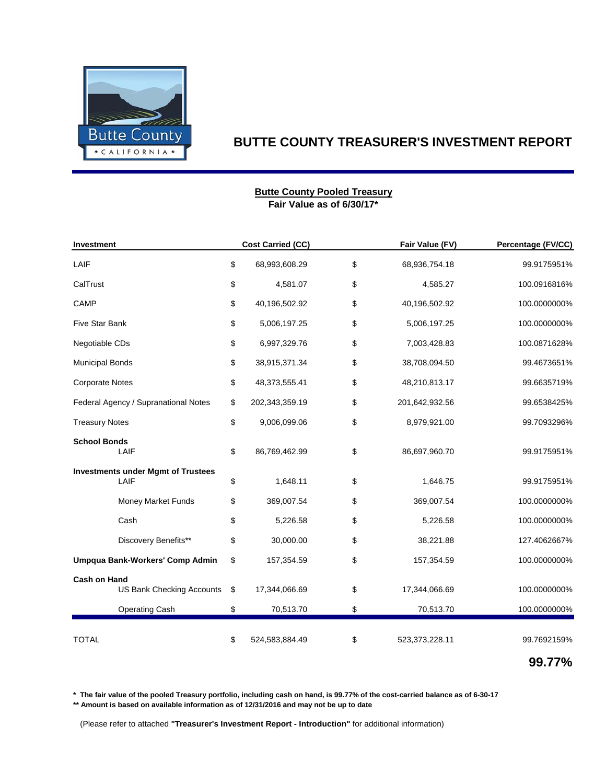

### **Fair Value as of 6/30/17\* Butte County Pooled Treasury**

| Investment                                              |    | <b>Cost Carried (CC)</b> | Fair Value (FV)      | Percentage (FV/CC) |
|---------------------------------------------------------|----|--------------------------|----------------------|--------------------|
| LAIF                                                    | \$ | 68,993,608.29            | \$<br>68,936,754.18  | 99.9175951%        |
| CalTrust                                                | \$ | 4,581.07                 | \$<br>4,585.27       | 100.0916816%       |
| CAMP                                                    | \$ | 40,196,502.92            | \$<br>40,196,502.92  | 100.0000000%       |
| Five Star Bank                                          | \$ | 5,006,197.25             | \$<br>5,006,197.25   | 100.0000000%       |
| Negotiable CDs                                          | \$ | 6,997,329.76             | \$<br>7,003,428.83   | 100.0871628%       |
| <b>Municipal Bonds</b>                                  | \$ | 38,915,371.34            | \$<br>38,708,094.50  | 99.4673651%        |
| <b>Corporate Notes</b>                                  | \$ | 48,373,555.41            | \$<br>48,210,813.17  | 99.6635719%        |
| Federal Agency / Supranational Notes                    | \$ | 202,343,359.19           | \$<br>201,642,932.56 | 99.6538425%        |
| <b>Treasury Notes</b>                                   |    | 9,006,099.06             | \$<br>8,979,921.00   | 99.7093296%        |
| <b>School Bonds</b><br>LAIF                             |    | 86,769,462.99            | \$<br>86,697,960.70  | 99.9175951%        |
| <b>Investments under Mgmt of Trustees</b><br>LAIF       |    | 1,648.11                 | \$<br>1,646.75       | 99.9175951%        |
| Money Market Funds                                      | \$ | 369,007.54               | \$<br>369,007.54     | 100.0000000%       |
| Cash                                                    | \$ | 5,226.58                 | \$<br>5,226.58       | 100.0000000%       |
| Discovery Benefits**                                    | \$ | 30,000.00                | \$<br>38,221.88      | 127.4062667%       |
| Umpqua Bank-Workers' Comp Admin                         | \$ | 157,354.59               | \$<br>157,354.59     | 100.0000000%       |
| <b>Cash on Hand</b><br><b>US Bank Checking Accounts</b> |    | 17,344,066.69            | \$<br>17,344,066.69  | 100.0000000%       |
| <b>Operating Cash</b>                                   | \$ | 70,513.70                | \$<br>70,513.70      | 100.0000000%       |
| <b>TOTAL</b>                                            | \$ | 524,583,884.49           | \$<br>523,373,228.11 | 99.7692159%        |

**99.77%**

**\* The fair value of the pooled Treasury portfolio, including cash on hand, is 99.77% of the cost-carried balance as of 6-30-17**

**\*\* Amount is based on available information as of 12/31/2016 and may not be up to date**

(Please refer to attached **"Treasurer's Investment Report - Introduction"** for additional information)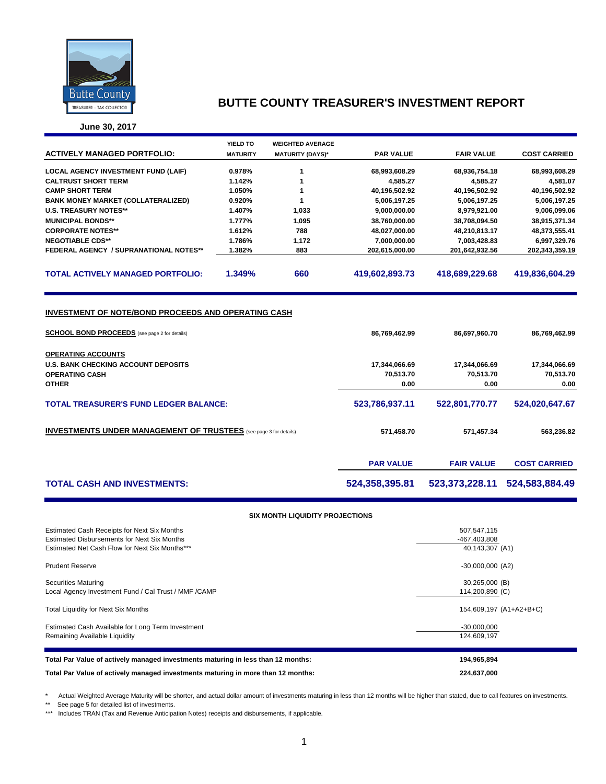

**June 30, 2017**

|                                               | YIELD TO        | <b>WEIGHTED AVERAGE</b> |                  |                   |                     |
|-----------------------------------------------|-----------------|-------------------------|------------------|-------------------|---------------------|
| <b>ACTIVELY MANAGED PORTFOLIO:</b>            | <b>MATURITY</b> | <b>MATURITY (DAYS)*</b> | <b>PAR VALUE</b> | <b>FAIR VALUE</b> | <b>COST CARRIED</b> |
| <b>LOCAL AGENCY INVESTMENT FUND (LAIF)</b>    | 0.978%          |                         | 68,993,608.29    | 68,936,754.18     | 68,993,608.29       |
| <b>CALTRUST SHORT TERM</b>                    | 1.142%          |                         | 4,585.27         | 4.585.27          | 4,581.07            |
| <b>CAMP SHORT TERM</b>                        | 1.050%          |                         | 40,196,502.92    | 40,196,502.92     | 40,196,502.92       |
| <b>BANK MONEY MARKET (COLLATERALIZED)</b>     | 0.920%          |                         | 5,006,197.25     | 5,006,197.25      | 5,006,197.25        |
| <b>U.S. TREASURY NOTES**</b>                  | 1.407%          | 1,033                   | 9,000,000.00     | 8,979,921.00      | 9,006,099.06        |
| <b>MUNICIPAL BONDS**</b>                      | 1.777%          | 1,095                   | 38,760,000.00    | 38,708,094.50     | 38,915,371.34       |
| <b>CORPORATE NOTES**</b>                      | 1.612%          | 788                     | 48,027,000.00    | 48,210,813.17     | 48,373,555.41       |
| <b>NEGOTIABLE CDS**</b>                       | 1.786%          | 1,172                   | 7,000,000.00     | 7,003,428.83      | 6,997,329.76        |
| <b>FEDERAL AGENCY / SUPRANATIONAL NOTES**</b> | 1.382%          | 883                     | 202,615,000.00   | 201,642,932.56    | 202,343,359.19      |
| <b>TOTAL ACTIVELY MANAGED PORTFOLIO:</b>      | 1.349%          | 660                     | 419,602,893.73   | 418.689.229.68    | 419.836.604.29      |
|                                               |                 |                         |                  |                   |                     |

#### **INVESTMENT OF NOTE/BOND PROCEEDS AND OPERATING CASH**

| <b>SCHOOL BOND PROCEEDS</b> (see page 2 for details)                     | 86,769,462.99    | 86,697,960.70     | 86,769,462.99       |
|--------------------------------------------------------------------------|------------------|-------------------|---------------------|
| <b>OPERATING ACCOUNTS</b>                                                |                  |                   |                     |
| <b>U.S. BANK CHECKING ACCOUNT DEPOSITS</b>                               | 17,344,066.69    | 17,344,066.69     | 17,344,066.69       |
| <b>OPERATING CASH</b>                                                    | 70,513.70        | 70,513.70         | 70,513.70           |
| <b>OTHER</b>                                                             | 0.00             | 0.00              | 0.00                |
| <b>TOTAL TREASURER'S FUND LEDGER BALANCE:</b>                            | 523,786,937.11   | 522,801,770.77    | 524,020,647.67      |
| <b>INVESTMENTS UNDER MANAGEMENT OF TRUSTEES</b> (see page 3 for details) | 571,458.70       | 571,457.34        | 563,236.82          |
|                                                                          | <b>PAR VALUE</b> | <b>FAIR VALUE</b> | <b>COST CARRIED</b> |
| <b>TOTAL CASH AND INVESTMENTS:</b>                                       | 524,358,395.81   | 523.373.228.11    | 524,583,884.49      |

#### **SIX MONTH LIQUIDITY PROJECTIONS**

| Estimated Cash Receipts for Next Six Months<br>Estimated Disbursements for Next Six Months<br>Estimated Net Cash Flow for Next Six Months*** | 507,547,115<br>-467,403,808<br>40,143,307 (A1) |
|----------------------------------------------------------------------------------------------------------------------------------------------|------------------------------------------------|
| <b>Prudent Reserve</b>                                                                                                                       | $-30,000,000$ (A2)                             |
| Securities Maturing<br>Local Agency Investment Fund / Cal Trust / MMF / CAMP                                                                 | 30,265,000 (B)<br>114,200,890 (C)              |
| <b>Total Liquidity for Next Six Months</b>                                                                                                   | 154,609,197 (A1+A2+B+C)                        |
| Estimated Cash Available for Long Term Investment<br>Remaining Available Liquidity                                                           | $-30,000,000$<br>124,609,197                   |
| Total Par Value of actively managed investments maturing in less than 12 months:                                                             | 194,965,894                                    |
| Total Par Value of actively managed investments maturing in more than 12 months:                                                             | 224.637.000                                    |

\* Actual Weighted Average Maturity will be shorter, and actual dollar amount of investments maturing in less than 12 months will be higher than stated, due to call features on investments.

\*\* See page 5 for detailed list of investments.

\*\*\* Includes TRAN (Tax and Revenue Anticipation Notes) receipts and disbursements, if applicable.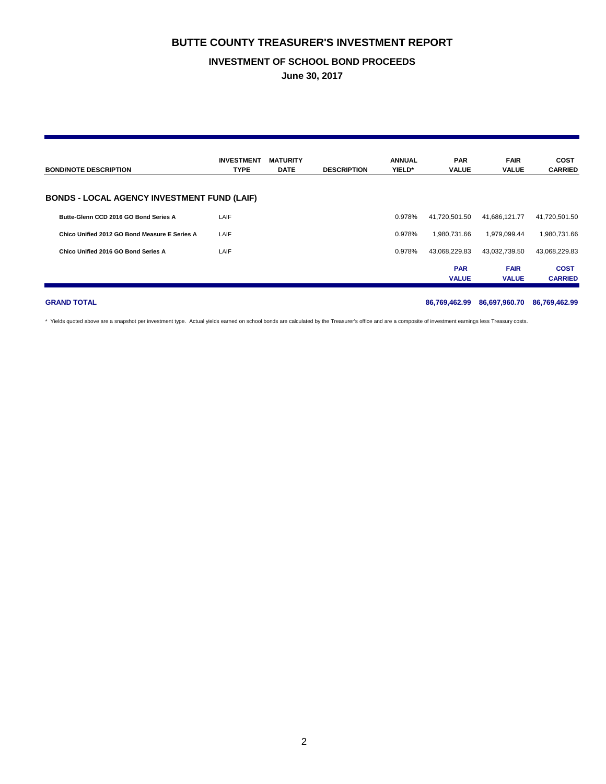#### **INVESTMENT OF SCHOOL BOND PROCEEDS**

**June 30, 2017**

| <b>BOND/NOTE DESCRIPTION</b>                       | <b>INVESTMENT</b><br><b>TYPE</b> | <b>MATURITY</b><br><b>DATE</b> | <b>DESCRIPTION</b> | <b>ANNUAL</b><br>YIELD* | <b>PAR</b><br><b>VALUE</b> | <b>FAIR</b><br><b>VALUE</b> | <b>COST</b><br><b>CARRIED</b> |
|----------------------------------------------------|----------------------------------|--------------------------------|--------------------|-------------------------|----------------------------|-----------------------------|-------------------------------|
| <b>BONDS - LOCAL AGENCY INVESTMENT FUND (LAIF)</b> |                                  |                                |                    |                         |                            |                             |                               |
| Butte-Glenn CCD 2016 GO Bond Series A              | LAIF                             |                                |                    | 0.978%                  | 41.720.501.50              | 41,686,121.77               | 41,720,501.50                 |
| Chico Unified 2012 GO Bond Measure E Series A      | LAIF                             |                                |                    | 0.978%                  | 1.980.731.66               | 1.979.099.44                | 1,980,731.66                  |
| Chico Unified 2016 GO Bond Series A                | LAIF                             |                                |                    | 0.978%                  | 43,068,229.83              | 43,032,739.50               | 43,068,229.83                 |
|                                                    |                                  |                                |                    |                         | <b>PAR</b><br><b>VALUE</b> | <b>FAIR</b><br><b>VALUE</b> | <b>COST</b><br><b>CARRIED</b> |

**GRAND TOTAL 86,769,462.99 86,697,960.70 86,769,462.99**

\* Yields quoted above are a snapshot per investment type. Actual yields earned on school bonds are calculated by the Treasurer's office and are a composite of investment earnings less Treasury costs.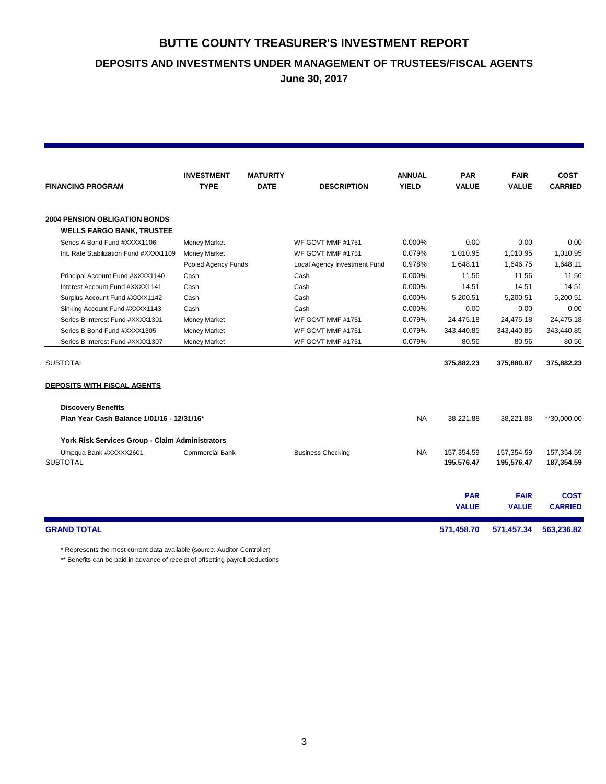**DEPOSITS AND INVESTMENTS UNDER MANAGEMENT OF TRUSTEES/FISCAL AGENTS**

**June 30, 2017**

|                                                 | <b>INVESTMENT</b>      | <b>MATURITY</b> |                              | <b>ANNUAL</b> | <b>PAR</b>   | <b>FAIR</b>  | <b>COST</b>    |
|-------------------------------------------------|------------------------|-----------------|------------------------------|---------------|--------------|--------------|----------------|
| <b>FINANCING PROGRAM</b>                        | <b>TYPE</b>            | <b>DATE</b>     | <b>DESCRIPTION</b>           | <b>YIELD</b>  | <b>VALUE</b> | <b>VALUE</b> | <b>CARRIED</b> |
|                                                 |                        |                 |                              |               |              |              |                |
| <b>2004 PENSION OBLIGATION BONDS</b>            |                        |                 |                              |               |              |              |                |
| <b>WELLS FARGO BANK, TRUSTEE</b>                |                        |                 |                              |               |              |              |                |
| Series A Bond Fund #XXXX1106                    | Money Market           |                 | WF GOVT MMF #1751            | $0.000\%$     | 0.00         | 0.00         | 0.00           |
| Int. Rate Stabilization Fund #XXXX1109          | <b>Money Market</b>    |                 | WF GOVT MMF #1751            | 0.079%        | 1,010.95     | 1,010.95     | 1,010.95       |
|                                                 | Pooled Agency Funds    |                 | Local Agency Investment Fund | 0.978%        | 1,648.11     | 1,646.75     | 1,648.11       |
| Principal Account Fund #XXXX1140                | Cash                   |                 | Cash                         | 0.000%        | 11.56        | 11.56        | 11.56          |
| Interest Account Fund #XXXX1141                 | Cash                   |                 | Cash                         | 0.000%        | 14.51        | 14.51        | 14.51          |
| Surplus Account Fund #XXXX1142                  | Cash                   |                 | Cash                         | 0.000%        | 5.200.51     | 5.200.51     | 5.200.51       |
| Sinking Account Fund #XXXX1143                  | Cash                   |                 | Cash                         | 0.000%        | 0.00         | 0.00         | 0.00           |
| Series B Interest Fund #XXXX1301                | <b>Money Market</b>    |                 | WF GOVT MMF #1751            | 0.079%        | 24,475.18    | 24,475.18    | 24,475.18      |
| Series B Bond Fund #XXXX1305                    | <b>Money Market</b>    |                 | WF GOVT MMF #1751            | 0.079%        | 343,440.85   | 343,440.85   | 343,440.85     |
| Series B Interest Fund #XXXX1307                | <b>Money Market</b>    |                 | WF GOVT MMF #1751            | 0.079%        | 80.56        | 80.56        | 80.56          |
| <b>SUBTOTAL</b>                                 |                        |                 |                              |               | 375,882.23   | 375,880.87   | 375,882.23     |
| <b>DEPOSITS WITH FISCAL AGENTS</b>              |                        |                 |                              |               |              |              |                |
| <b>Discovery Benefits</b>                       |                        |                 |                              |               |              |              |                |
| Plan Year Cash Balance 1/01/16 - 12/31/16*      |                        |                 |                              | NA            | 38,221.88    | 38,221.88    | **30,000.00    |
| York Risk Services Group - Claim Administrators |                        |                 |                              |               |              |              |                |
| Umpqua Bank #XXXXX2601                          | <b>Commercial Bank</b> |                 | <b>Business Checking</b>     | NA            | 157,354.59   | 157,354.59   | 157,354.59     |
| <b>SUBTOTAL</b>                                 |                        |                 |                              |               | 195,576.47   | 195,576.47   | 187,354.59     |
|                                                 |                        |                 |                              |               |              |              |                |
|                                                 |                        |                 |                              |               |              |              |                |
|                                                 |                        |                 |                              |               | <b>PAR</b>   | <b>FAIR</b>  | <b>COST</b>    |
|                                                 |                        |                 |                              |               | <b>VALUE</b> | <b>VALUE</b> | <b>CARRIED</b> |
| <b>GRAND TOTAL</b>                              |                        |                 |                              |               | 571,458.70   | 571,457.34   | 563,236.82     |

\* Represents the most current data available (source: Auditor-Controller)

\*\* Benefits can be paid in advance of receipt of offsetting payroll deductions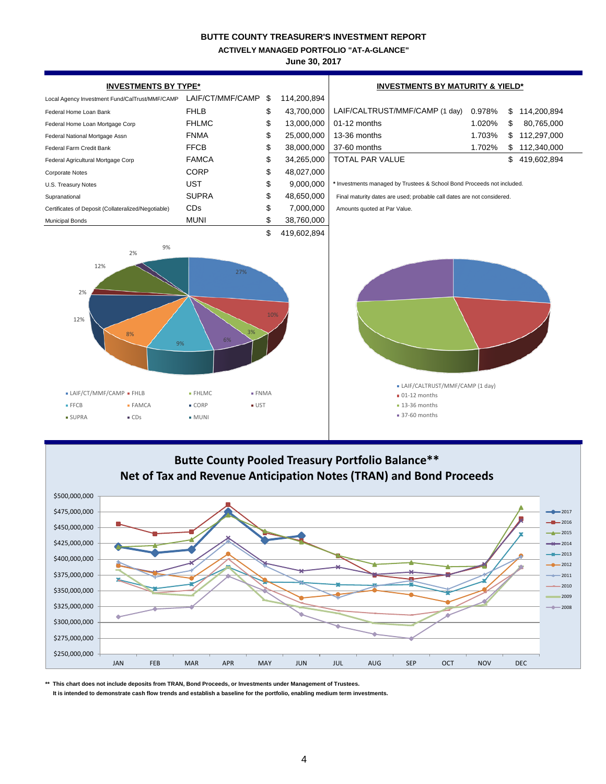**ACTIVELY MANAGED PORTFOLIO "AT-A-GLANCE"**

**June 30, 2017**





**\*\* This chart does not include deposits from TRAN, Bond Proceeds, or Investments under Management of Trustees.**

 **It is intended to demonstrate cash flow trends and establish a baseline for the portfolio, enabling medium term investments.**